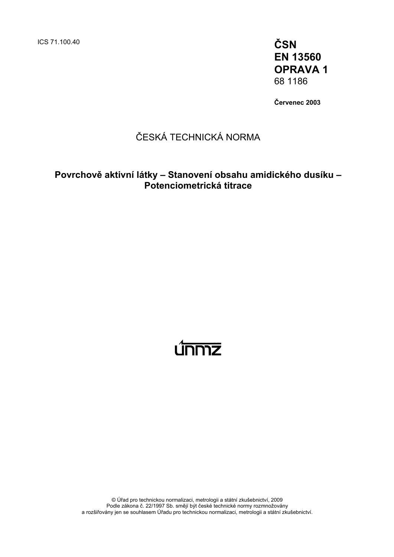ICS 71.100.40 **ČSN** 

**EN 13560 OPRAVA 1**  68 1186

**Červenec 2003** 

# ČESKÁ TECHNICKÁ NORMA

## **Povrchově aktivní látky – Stanovení obsahu amidického dusíku – Potenciometrická titrace**

# <u>únmz</u>

© Úřad pro technickou normalizaci, metrologii a státní zkušebnictví, 2009 Podle zákona č. 22/1997 Sb. smějí být české technické normy rozmnožovány a rozšiřovány jen se souhlasem Úřadu pro technickou normalizaci, metrologii a státní zkušebnictví.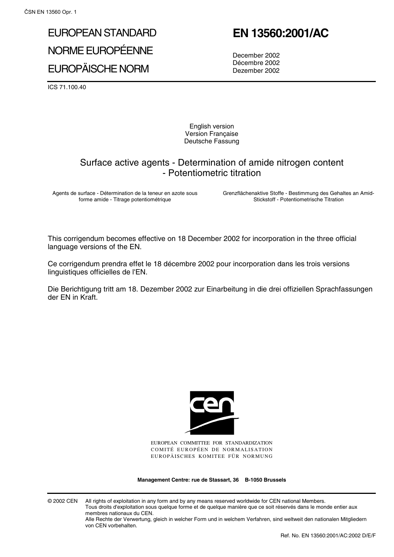# EUROPEAN STANDARD NORME EUROPÉENNE EUROPÄISCHE NORM

#### ICS 71.100.40

**EN 13560:2001/AC**

December 2002 Décembre 2002 Dezember 2002

English version Version Française Deutsche Fassung

### Surface active agents - Determination of amide nitrogen content - Potentiometric titration

Agents de surface - Détermination de la teneur en azote sous forme amide - Titrage potentiométrique

Grenzflächenaktive Stoffe - Bestimmung des Gehaltes an Amid-Stickstoff - Potentiometrische Titration

This corrigendum becomes effective on 18 December 2002 for incorporation in the three official language versions of the EN.

Ce corrigendum prendra effet le 18 décembre 2002 pour incorporation dans les trois versions linguistiques officielles de l'EN.

Die Berichtigung tritt am 18. Dezember 2002 zur Einarbeitung in die drei offiziellen Sprachfassungen der EN in Kraft.



EUROPEAN COMMITTEE FOR STANDARDIZATION COMITÉ EUROPÉEN DE NORMALISATION EUROPÄISCHES KOMITEE FÜR NORMUNG

**Management Centre: rue de Stassart, 36 B-1050 Brussels**

© 2002 CEN All rights of exploitation in any form and by any means reserved worldwide for CEN national Members. Tous droits d'exploitation sous quelque forme et de quelque manière que ce soit réservés dans le monde entier aux membres nationaux du CEN.

Alle Rechte der Verwertung, gleich in welcher Form und in welchem Verfahren, sind weltweit den nationalen Mitgliedern von CEN vorbehalten.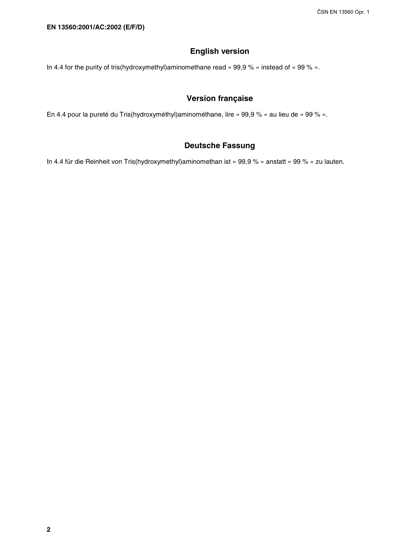#### **English version**

In 4.4 for the purity of tris(hydroxymethyl)aminomethane read « 99,9 % » instead of « 99 % ».

#### **Version française**

En 4.4 pour la pureté du Tris(hydroxyméthyl)aminométhane, lire « 99,9 % » au lieu de « 99 % ».

#### **Deutsche Fassung**

In 4.4 für die Reinheit von Tris(hydroxymethyl)aminomethan ist « 99,9 % » anstatt « 99 % » zu lauten.